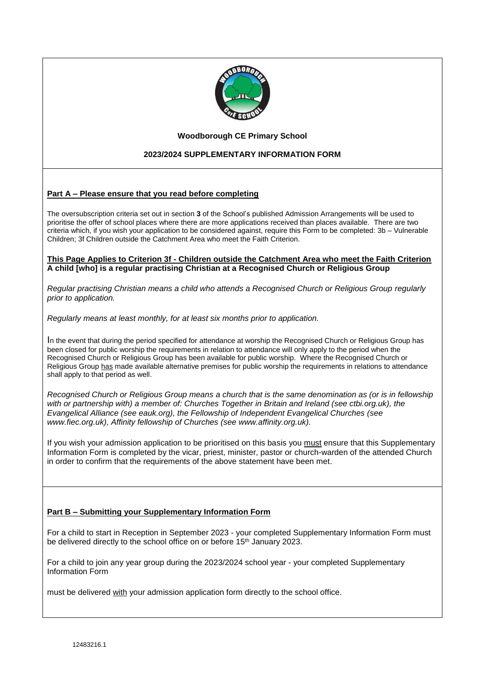

#### **Woodborough CE Primary School**

## **2023/2024 SUPPLEMENTARY INFORMATION FORM**

### **Part A – Please ensure that you read before completing**

The oversubscription criteria set out in section **3** of the School's published Admission Arrangements will be used to prioritise the offer of school places where there are more applications received than places available. There are two criteria which, if you wish your application to be considered against, require this Form to be completed: 3b – Vulnerable Children; 3f Children outside the Catchment Area who meet the Faith Criterion.

#### **This Page Applies to Criterion 3f - Children outside the Catchment Area who meet the Faith Criterion A child [who] is a regular practising Christian at a Recognised Church or Religious Group**

*Regular practising Christian means a child who attends a Recognised Church or Religious Group regularly prior to application.*

*Regularly means at least monthly, for at least six months prior to application.*

In the event that during the period specified for attendance at worship the Recognised Church or Religious Group has been closed for public worship the requirements in relation to attendance will only apply to the period when the Recognised Church or Religious Group has been available for public worship. Where the Recognised Church or Religious Group has made available alternative premises for public worship the requirements in relations to attendance shall apply to that period as well.

*Recognised Church or Religious Group means a church that is the same denomination as (or is in fellowship with or partnership with) a member of: Churches Together in Britain and Ireland (see ctbi.org.uk), the Evangelical Alliance (see eauk.org), the Fellowship of Independent Evangelical Churches (see www.fiec.org.uk), Affinity fellowship of Churches (see www.affinity.org.uk).*

If you wish your admission application to be prioritised on this basis you must ensure that this Supplementary Information Form is completed by the vicar, priest, minister, pastor or church-warden of the attended Church in order to confirm that the requirements of the above statement have been met.

#### **Part B – Submitting your Supplementary Information Form**

For a child to start in Reception in September 2023 - your completed Supplementary Information Form must be delivered directly to the school office on or before 15<sup>th</sup> January 2023.

For a child to join any year group during the 2023/2024 school year - your completed Supplementary Information Form

must be delivered with your admission application form directly to the school office.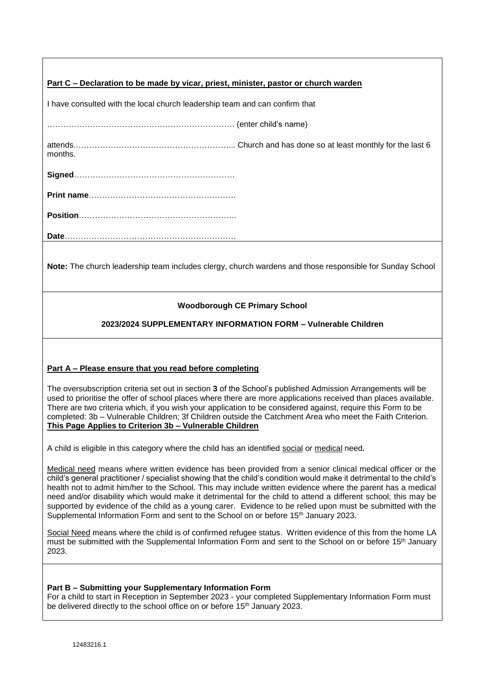| Part C – Declaration to be made by vicar, priest, minister, pastor or church warden |  |  |
|-------------------------------------------------------------------------------------|--|--|
|                                                                                     |  |  |

I have consulted with the local church leadership team and can confirm that

……………………………………………………………. (enter child's name)

attends.…………………………………………………... Church and has done so at least monthly for the last 6 months.

**Signed**……………………………………………………

**Print name**……………………………………………….

**Position**…………………………………………………..

**Date**……………………………………………………….

**Note:** The church leadership team includes clergy, church wardens and those responsible for Sunday School

# **Woodborough CE Primary School**

# **2023/2024 SUPPLEMENTARY INFORMATION FORM – Vulnerable Children**

### **Part A – Please ensure that you read before completing**

The oversubscription criteria set out in section **3** of the School's published Admission Arrangements will be used to prioritise the offer of school places where there are more applications received than places available. There are two criteria which, if you wish your application to be considered against, require this Form to be completed: 3b – Vulnerable Children; 3f Children outside the Catchment Area who meet the Faith Criterion. **This Page Applies to Criterion 3b – Vulnerable Children**

A child is eligible in this category where the child has an identified social or medical need.

Medical need means where written evidence has been provided from a senior clinical medical officer or the child's general practitioner / specialist showing that the child's condition would make it detrimental to the child's health not to admit him/her to the School. This may include written evidence where the parent has a medical need and/or disability which would make it detrimental for the child to attend a different school; this may be supported by evidence of the child as a young carer. Evidence to be relied upon must be submitted with the Supplemental Information Form and sent to the School on or before 15<sup>th</sup> January 2023.

Social Need means where the child is of confirmed refugee status. Written evidence of this from the home LA must be submitted with the Supplemental Information Form and sent to the School on or before 15th January 2023.

#### **Part B – Submitting your Supplementary Information Form**

For a child to start in Reception in September 2023 - your completed Supplementary Information Form must be delivered directly to the school office on or before 15<sup>th</sup> January 2023.